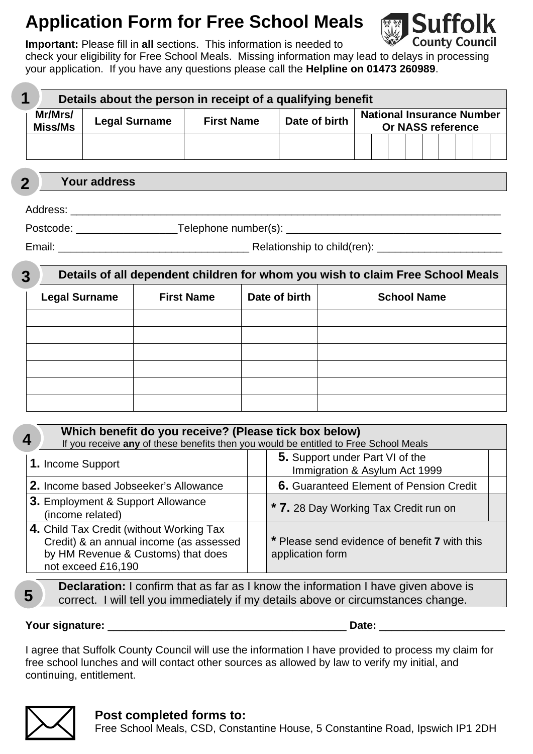# **Application Form for Free School Meals**



**Important:** Please fill in **all** sections. This information is needed to check your eligibility for Free School Meals. Missing information may lead to delays in processing your application. If you have any questions please call the **Helpline on 01473 260989**.

 **Details about the person in receipt of a qualifying benefit Mr/Mrs/ Mr/Mrs/** Legal Surname | First Name | Date of birth | National Insurance Number Miss/Ms | Legal Surname | First Name | Date of birth | National Insurance Number **Or NASS reference 1** 

 **Your address 2** 

Address: \_\_\_\_\_\_\_\_\_\_\_\_\_\_\_\_\_\_\_\_\_\_\_\_\_\_\_\_\_\_\_\_\_\_\_\_\_\_\_\_\_\_\_\_\_\_\_\_\_\_\_\_\_\_\_\_\_\_\_\_\_\_\_\_\_\_\_\_\_\_\_\_

Postcode: \_\_\_\_\_\_\_\_\_\_\_\_\_\_\_\_\_\_\_\_\_\_\_Telephone number(s): \_\_\_\_\_\_\_\_\_\_\_\_\_\_\_\_\_\_\_\_\_\_\_\_\_\_

Email: \_\_\_\_\_\_\_\_\_\_\_\_\_\_\_\_\_\_\_\_\_\_\_\_\_\_\_\_\_\_\_\_ Relationship to child(ren): \_\_\_\_\_\_\_\_\_\_\_\_\_\_\_\_\_\_\_\_\_

| 3 | Details of all dependent children for whom you wish to claim Free School Meals |                   |               |                    |  |  |
|---|--------------------------------------------------------------------------------|-------------------|---------------|--------------------|--|--|
|   | <b>Legal Surname</b>                                                           | <b>First Name</b> | Date of birth | <b>School Name</b> |  |  |
|   |                                                                                |                   |               |                    |  |  |
|   |                                                                                |                   |               |                    |  |  |
|   |                                                                                |                   |               |                    |  |  |
|   |                                                                                |                   |               |                    |  |  |
|   |                                                                                |                   |               |                    |  |  |
|   |                                                                                |                   |               |                    |  |  |

| Which benefit do you receive? (Please tick box below)<br>4<br>If you receive any of these benefits then you would be entitled to Free School Meals |                                                                   |  |  |  |  |  |
|----------------------------------------------------------------------------------------------------------------------------------------------------|-------------------------------------------------------------------|--|--|--|--|--|
| 1. Income Support                                                                                                                                  | 5. Support under Part VI of the<br>Immigration & Asylum Act 1999  |  |  |  |  |  |
| 2. Income based Jobseeker's Allowance                                                                                                              | <b>6.</b> Guaranteed Element of Pension Credit                    |  |  |  |  |  |
| 3. Employment & Support Allowance<br>(income related)                                                                                              | * 7. 28 Day Working Tax Credit run on                             |  |  |  |  |  |
| 4. Child Tax Credit (without Working Tax<br>Credit) & an annual income (as assessed<br>by HM Revenue & Customs) that does<br>not exceed £16,190    | * Please send evidence of benefit 7 with this<br>application form |  |  |  |  |  |

**Declaration:** I confirm that as far as I know the information I have given above is correct. I will tell you immediately if my details above or circumstances change.

**Your signature:** \_\_\_\_\_\_\_\_\_\_\_\_\_\_\_\_\_\_\_\_\_\_\_\_\_\_\_\_\_\_\_\_\_\_\_\_\_\_\_\_ **Date:** \_\_\_\_\_\_\_\_\_\_\_\_\_\_\_\_\_\_\_\_\_

I agree that Suffolk County Council will use the information I have provided to process my claim for free school lunches and will contact other sources as allowed by law to verify my initial, and continuing, entitlement.



#### **Post completed forms to:**

Free School Meals, CSD, Constantine House, 5 Constantine Road, Ipswich IP1 2DH